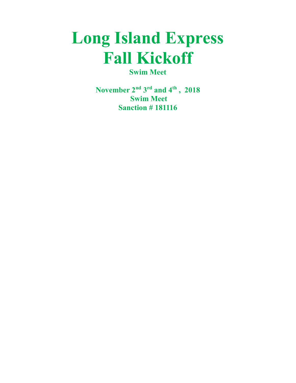# Long Island Express Fall Kickoff

Swim Meet

November 2<sup>nd</sup> 3<sup>rd</sup> and 4<sup>th</sup>, 2018 Swim Meet **Sanction #181116**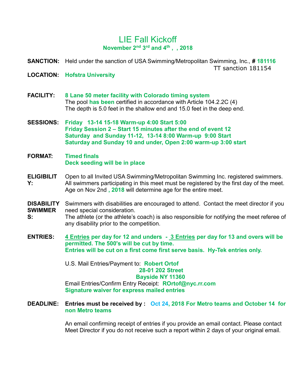# LIE Fall Kickoff November 2<sup>nd</sup> 3<sup>rd</sup> and 4<sup>th</sup>, , 2018

**SANCTION:** Held under the sanction of USA Swimming/Metropolitan Swimming, Inc., #181116 TT sanction 181154

- LOCATION: Hofstra University
- FACILITY: 8 Lane 50 meter facility with Colorado timing system The pool has been certified in accordance with Article 104.2.2C (4) The depth is 5.0 feet in the shallow end and 15.0 feet in the deep end.
- SESSIONS: Friday 13-14 15-18 Warm-up 4:00 Start 5:00 Friday Session 2 – Start 15 minutes after the end of event 12 Saturday and Sunday 11-12, 13-14 8:00 Warm-up 9:00 Start Saturday and Sunday 10 and under, Open 2:00 warm-up 3:00 start
- FORMAT: Timed finals Deck seeding will be in place
- ELIGIBILIT Y: Open to all Invited USA Swimming/Metropolitan Swimming Inc. registered swimmers. All swimmers participating in this meet must be registered by the first day of the meet. Age on Nov 2nd, 2018 will determine age for the entire meet.
- DISABILITY SWIMMER Swimmers with disabilities are encouraged to attend. Contact the meet director if you need special consideration.
- S: The athlete (or the athlete's coach) is also responsible for notifying the meet referee of any disability prior to the competition.
- ENTRIES: 4 Entries per day for 12 and unders 3 Entries per day for 13 and overs will be permitted. The 500's will be cut by time. Entries will be cut on a first come first serve basis. Hy-Tek entries only.

U.S. Mail Entries/Payment to: Robert Ortof 28-01 202 Street Bayside NY 11360 Email Entries/Confirm Entry Receipt: ROrtof@nyc.rr.com Signature waiver for express mailed entries

DEADLINE: Entries must be received by : Oct 24, 2018 For Metro teams and October 14 for non Metro teams

> An email confirming receipt of entries if you provide an email contact. Please contact Meet Director if you do not receive such a report within 2 days of your original email.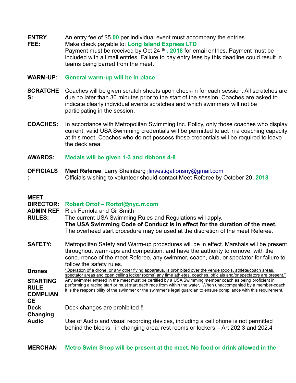- **ENTRY** An entry fee of \$5.00 per individual event must accompany the entries.
- FEE: Make check payable to: Long Island Express LTD Payment must be received by Oct 24  $th$ , 2018 for email entries. Payment must be included with all mail entries. Failure to pay entry fees by this deadline could result in teams being barred from the meet.

## WARM-UP: General warm-up will be in place

- **SCRATCHE** Coaches will be given scratch sheets upon check-in for each session. All scratches are S: due no later than 30 minutes prior to the start of the session. Coaches are asked to indicate clearly individual events scratches and which swimmers will not be participating in the session.
- COACHES: In accordance with Metropolitan Swimming Inc. Policy, only those coaches who display current, valid USA Swimming credentials will be permitted to act in a coaching capacity at this meet. Coaches who do not possess these credentials will be required to leave the deck area.
- AWARDS: Medals will be given 1-3 and ribbons 4-8
- **OFFICIALS** : Meet Referee: Larry Sheinberg jlinvestigationsny@gmail.com Officials wishing to volunteer should contact Meet Referee by October 20, 2018

## MEET

| <u>IVILLI</u><br><b>DIRECTOR:</b><br><b>ADMIN REF</b><br><b>RULES:</b> | Robert Ortof - Rortof@nyc.rr.com<br><b>Rick Ferriola and Gil Smith</b><br>The current USA Swimming Rules and Regulations will apply.<br>The USA Swimming Code of Conduct is in effect for the duration of the meet.<br>The overhead start procedure may be used at the discretion of the meet Referee.                                           |
|------------------------------------------------------------------------|--------------------------------------------------------------------------------------------------------------------------------------------------------------------------------------------------------------------------------------------------------------------------------------------------------------------------------------------------|
| <b>SAFETY:</b>                                                         | Metropolitan Safety and Warm-up procedures will be in effect. Marshals will be present<br>throughout warm-ups and competition, and have the authority to remove, with the<br>concurrence of the meet Referee, any swimmer, coach, club, or spectator for failure to<br>follow the safety rules.                                                  |
| <b>Drones</b>                                                          | "Operation of a drone, or any other flying apparatus, is prohibited over the venue (pools, athlete/coach areas,<br>spectator areas and open ceiling locker rooms) any time athletes, coaches, officials and/or spectators are present."                                                                                                          |
| <b>STARTING</b><br><b>RULE</b><br><b>COMPLIAN</b><br>CE.               | Any swimmer entered in the meet must be certified by a USA Swimming member coach as being proficient in<br>performing a racing start or must start each race from within the water. When unaccompanied by a member-coach,<br>it is the responsibility of the swimmer or the swimmer's legal guardian to ensure compliance with this requirement. |
| <b>Deck</b><br>Changing                                                | Deck changes are prohibited !!                                                                                                                                                                                                                                                                                                                   |
| <b>Audio</b>                                                           | Use of Audio and visual recording devices, including a cell phone is not permitted<br>behind the blocks, in changing area, rest rooms or lockers. - Art 202.3 and 202.4                                                                                                                                                                          |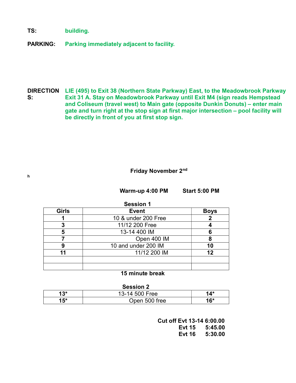TS: building.

h

PARKING: Parking immediately adjacent to facility.

DIRECTION LIE (495) to Exit 38 (Northern State Parkway) East, to the Meadowbrook Parkway S: Exit 31 A. Stay on Meadowbrook Parkway until Exit M4 (sign reads Hempstead and Coliseum (travel west) to Main gate (opposite Dunkin Donuts) – enter main gate and turn right at the stop sign at first major intersection – pool facility will be directly in front of you at first stop sign.

## Friday November 2nd

Warm-up 4:00 PM Start 5:00 PM

| <b>Session 1</b> |                     |             |
|------------------|---------------------|-------------|
| <b>Girls</b>     | <b>Event</b>        | <b>Boys</b> |
|                  | 10 & under 200 Free |             |
| 3                | 11/12 200 Free      |             |
| 5                | 13-14 400 IM        | 6           |
|                  | Open 400 IM         | 8           |
| 9                | 10 and under 200 IM | 10          |
| 11               | 11/12 200 IM        | 12          |
|                  |                     |             |
|                  |                     |             |

## 15 minute break

#### Session 2

| 13* | 13-14 500 Free | $14*$ |
|-----|----------------|-------|
| 15* | Open 500 free  | $16*$ |

 Cut off Evt 13-14 6:00.00 Evt 15 5:45.00 Evt 16 5:30.00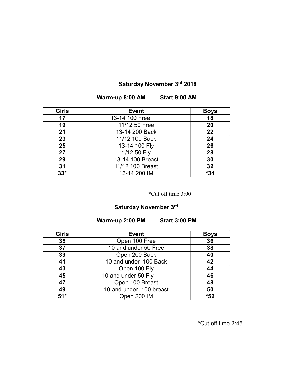# Saturday November 3rd 2018

Warm-up 8:00 AM Start 9:00 AM

| <b>Girls</b> | <b>Event</b>     | <b>Boys</b> |
|--------------|------------------|-------------|
| 17           | 13-14 100 Free   | 18          |
| 19           | 11/12 50 Free    | 20          |
| 21           | 13-14 200 Back   | 22          |
| 23           | 11/12 100 Back   | 24          |
| 25           | 13-14 100 Fly    | 26          |
| 27           | 11/12 50 Fly     | 28          |
| 29           | 13-14 100 Breast | 30          |
| 31           | 11/12 100 Breast | 32          |
| $33*$        | 13-14 200 IM     | *34         |
|              |                  |             |

\*Cut off time 3:00

## Saturday November 3<sup>rd</sup>

Warm-up 2:00 PM Start 3:00 PM

| <b>Girls</b> | <b>Event</b>            | <b>Boys</b> |
|--------------|-------------------------|-------------|
| 35           | Open 100 Free           | 36          |
| 37           | 10 and under 50 Free    | 38          |
| 39           | Open 200 Back           | 40          |
| 41           | 10 and under 100 Back   | 42          |
| 43           | Open 100 Fly            | 44          |
| 45           | 10 and under 50 Fly     | 46          |
| 47           | Open 100 Breast         | 48          |
| 49           | 10 and under 100 breast | 50          |
| $51*$        | Open 200 IM             | *52         |
|              |                         |             |

\*Cut off time 2:45